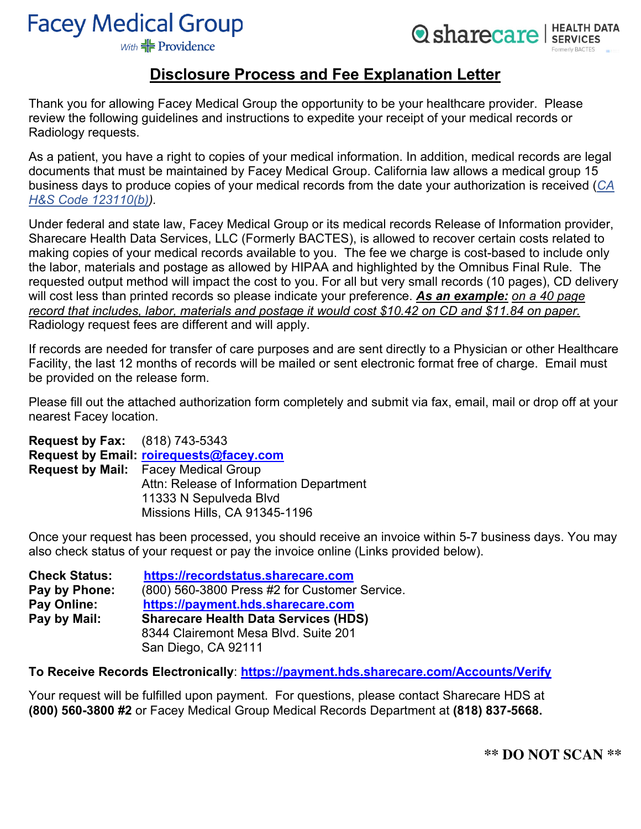# **Facey Medical Group**

**Q** sharecare | HEALTH DATA

With  $#$  Providence

### **Disclosure Process and Fee Explanation Letter**

Thank you for allowing Facey Medical Group the opportunity to be your healthcare provider. Please review the following guidelines and instructions to expedite your receipt of your medical records or Radiology requests.

As a patient, you have a right to copies of your medical information. In addition, medical records are legal documents that must be maintained by Facey Medical Group. California law allows a medical group 15 business days to produce copies of your medical records from the date your authorization is received (*CA H&S Code 123110(b)).*

Under federal and state law, Facey Medical Group or its medical records Release of Information provider, Sharecare Health Data Services, LLC (Formerly BACTES), is allowed to recover certain costs related to making copies of your medical records available to you. The fee we charge is cost-based to include only the labor, materials and postage as allowed by HIPAA and highlighted by the Omnibus Final Rule. The requested output method will impact the cost to you. For all but very small records (10 pages), CD delivery will cost less than printed records so please indicate your preference. *As an example: on a 40 page record that includes, labor, materials and postage it would cost \$10.42 on CD and \$11.84 on paper.* Radiology request fees are different and will apply.

If records are needed for transfer of care purposes and are sent directly to a Physician or other Healthcare Facility, the last 12 months of records will be mailed or sent electronic format free of charge. Email must be provided on the release form.

Please fill out the attached authorization form completely and submit via fax, email, mail or drop off at your nearest Facey location.

**Request by Fax:** (818) 743-5343 **Request by Email: roirequests@facey.com Request by Mail:** Facey Medical Group Attn: Release of Information Department 11333 N Sepulveda Blvd Missions Hills, CA 91345-1196

Once your request has been processed, you should receive an invoice within 5-7 business days. You may also check status of your request or pay the invoice online (Links provided below).

| <b>Check Status:</b> | https://recordstatus.sharecare.com            |
|----------------------|-----------------------------------------------|
| Pay by Phone:        | (800) 560-3800 Press #2 for Customer Service. |
| Pay Online:          | https://payment.hds.sharecare.com             |
| Pay by Mail:         | <b>Sharecare Health Data Services (HDS)</b>   |
|                      | 8344 Clairemont Mesa Blvd. Suite 201          |
|                      | San Diego, CA 92111                           |

**To Receive Records Electronically**: **https://payment.hds.sharecare.com/Accounts/Verify**

Your request will be fulfilled upon payment. For questions, please contact Sharecare HDS at **(800) 560-3800 #2** or Facey Medical Group Medical Records Department at **(818) 837-5668.**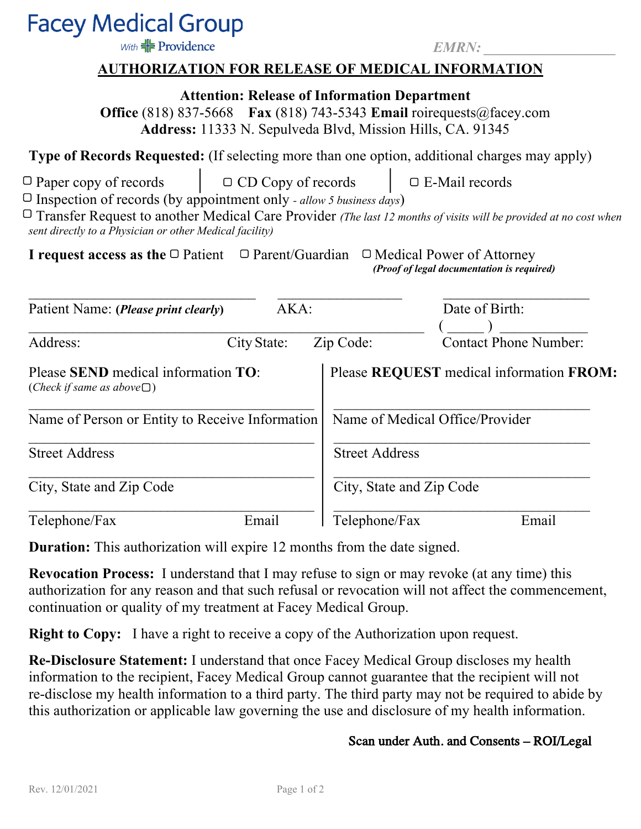## **Facey Medical Group**

With  $\frac{1}{\sqrt{2}}$  Providence

 *EMRN: \_\_\_\_\_\_\_\_\_\_\_\_\_\_\_\_\_\_* 

#### **AUTHORIZATION FOR RELEASE OF MEDICAL INFORMATION**

**Attention: Release of Information Department** 

**Office** (818) 837-5668 **Fax** (818) 743-5343 **Email** roirequests@facey.com **Address:** 11333 N. Sepulveda Blvd, Mission Hills, CA. 91345

**Type of Records Requested:** (If selecting more than one option, additional charges may apply)

 $\Box$  Paper copy of records  $\Box$   $\Box$  CD Copy of records  $\Box$  E-Mail records

Inspection of records (by appointment only *- allow 5 business days*)

 Transfer Request to another Medical Care Provider *(The last 12 months of visits will be provided at no cost when sent directly to a Physician or other Medical facility)*

**I request access as the**  $\Box$  Patient  $\Box$  Parent/Guardian  $\Box$  Medical Power of Attorney *(Proof of legal documentation is required)* 

| Patient Name: ( <i>Please print clearly</i> )                                   | AKA:        |                       | Date of Birth:                           |  |
|---------------------------------------------------------------------------------|-------------|-----------------------|------------------------------------------|--|
| Address:                                                                        | City State: | Zip Code:             | <b>Contact Phone Number:</b>             |  |
| Please SEND medical information TO:<br>( <i>Check if same as above</i> $\Box$ ) |             |                       | Please REQUEST medical information FROM: |  |
| Name of Person or Entity to Receive Information                                 |             |                       | Name of Medical Office/Provider          |  |
| <b>Street Address</b>                                                           |             | <b>Street Address</b> |                                          |  |
| City, State and Zip Code                                                        |             |                       | City, State and Zip Code                 |  |
| Telephone/Fax                                                                   | Email       | Telephone/Fax         | Email                                    |  |

**Duration:** This authorization will expire 12 months from the date signed.

**Revocation Process:** I understand that I may refuse to sign or may revoke (at any time) this authorization for any reason and that such refusal or revocation will not affect the commencement, continuation or quality of my treatment at Facey Medical Group.

**Right to Copy:** I have a right to receive a copy of the Authorization upon request.

**Re-Disclosure Statement:** I understand that once Facey Medical Group discloses my health information to the recipient, Facey Medical Group cannot guarantee that the recipient will not re-disclose my health information to a third party. The third party may not be required to abide by this authorization or applicable law governing the use and disclosure of my health information.

#### Scan under Auth. and Consents – ROI/Legal